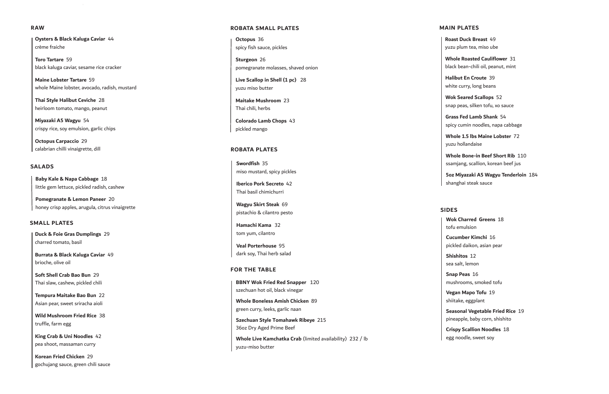**Oysters & Black Kaluga Caviar** 44 crème fraiche

**Toro Tartare** 59 black kaluga caviar, sesame rice cracker

**Maine Lobster Tartare** 59 whole Maine lobster, avocado, radish, mustard

**Thai Style Halibut Ceviche** 28 heirloom tomato, mango, peanut

**Miyazaki A5 Wagyu** 54 crispy rice, soy emulsion, garlic chips

**Octopus Carpaccio** 29 calabrian chilli vinaigrette, dill

#### **RAW**

**Baby Kale & Napa Cabbage** 18 little gem lettuce, pickled radish, cashew

**Pomegranate & Lemon Paneer** 20 honey crisp apples, arugula, citrus vinaigrette

### **SALADS**

**Duck & Foie Gras Dumplings** 29 charred tomato, basil

**Burrata & Black Kaluga Caviar** 49 brioche, olive oil

**Soft Shell Crab Bao Bun** 29 Thai slaw, cashew, pickled chili

**Tempura Maitake Bao Bun** 22 Asian pear, sweet sriracha aioli

**Wild Mushroom Fried Rice** 38 truffle, farm egg

**King Crab & Uni Noodles** 42 pea shoot, massaman curry

**Korean Fried Chicken** 29 gochujang sauce, green chili sauce

### **SMALL PLATES**

**Roast Duck Breast** 49 yuzu plum tea, miso ube

**Whole Roasted Cauliflower** 31 black bean-chili oil, peanut, mint

**Halibut En Croute** 39 white curry, long beans

**Wok Seared Scallops** 52 snap peas, silken tofu, xo sauce

**Grass Fed Lamb Shank** 54 spicy cumin noodles, napa cabbage

**Whole 1.5 lbs Maine Lobster** 72 yuzu hollandaise

**Whole Bone-in Beef Short Rib** 110 ssamjang, scallion, korean beef jus

**5oz Miyazaki A5 Wagyu Tenderloin** 184 shanghai steak sauce

### **MAIN PLATES**

**Wok Charred Greens** 18 tofu emulsion

**Cucumber Kimchi** 16 pickled daikon, asian pear

**Shishitos** 12 sea salt, lemon

**Snap Peas** 16 mushrooms, smoked tofu

**Vegan Mapo Tofu** 19 shiitake, eggplant

**Seasonal Vegetable Fried Rice** 19 pineapple, baby corn, shishito

**Crispy Scallion Noodles** 18

egg noodle, sweet soy

| <b>ROBATA SMALL PLATES</b>                                                |
|---------------------------------------------------------------------------|
| Octopus 36<br>spicy fish sauce, pickles                                   |
| Sturgeon 26<br>pomegranate molasses, shaved onion                         |
| Live Scallop in Shell (1 pc) 28<br>yuzu miso butter                       |
| <b>Maitake Mushroom 23</b><br>Thai chili, herbs                           |
| Colorado Lamb Chops 43<br>pickled mango                                   |
| <b>ROBATA PLATES</b>                                                      |
| Swordfish 35<br>miso mustard, spicy pickles                               |
| <b>Iberico Pork Secreto 42</b><br>Thai basil chimichurri                  |
| Wagyu Skirt Steak 69<br>pistachio & cilantro pesto                        |
| Hamachi Kama 32<br>tom yum, cilantro                                      |
| <b>Veal Porterhouse 95</b><br>dark soy, Thai herb salad                   |
| <b>FOR THE TABLE</b>                                                      |
| <b>BBNY Wok Fried Red Snapper 120</b><br>szechuan hot oil, black vinegar  |
| <b>Whole Boneless Amish Chicken 89</b><br>green curry, leeks, garlic naan |
| Szechuan Style Tomahawk Ribeye 215<br>36oz Dry Aged Prime Beef            |

### **SIDES**

**Whole Live Kamchatka Crab** (limited availability) 232 / lb yuzu-miso butter